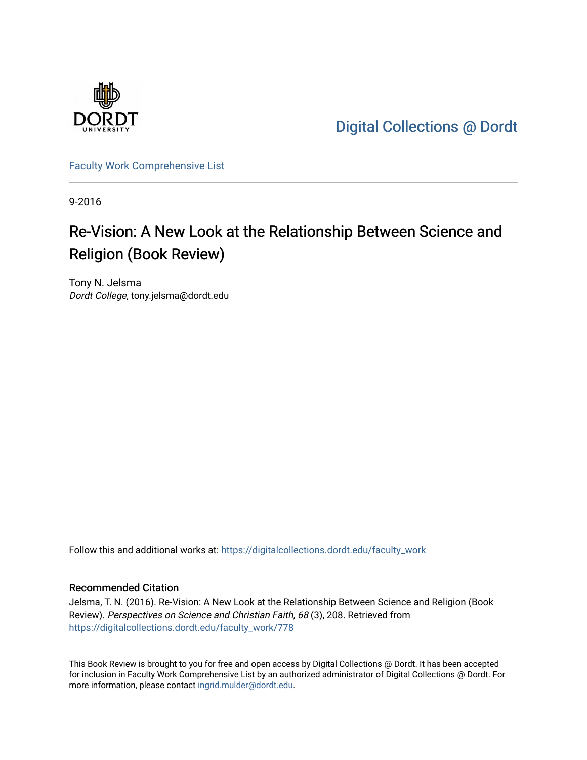

[Digital Collections @ Dordt](https://digitalcollections.dordt.edu/) 

[Faculty Work Comprehensive List](https://digitalcollections.dordt.edu/faculty_work)

9-2016

## Re-Vision: A New Look at the Relationship Between Science and Religion (Book Review)

Tony N. Jelsma Dordt College, tony.jelsma@dordt.edu

Follow this and additional works at: [https://digitalcollections.dordt.edu/faculty\\_work](https://digitalcollections.dordt.edu/faculty_work?utm_source=digitalcollections.dordt.edu%2Ffaculty_work%2F778&utm_medium=PDF&utm_campaign=PDFCoverPages) 

#### Recommended Citation

Jelsma, T. N. (2016). Re-Vision: A New Look at the Relationship Between Science and Religion (Book Review). Perspectives on Science and Christian Faith, 68 (3), 208. Retrieved from [https://digitalcollections.dordt.edu/faculty\\_work/778](https://digitalcollections.dordt.edu/faculty_work/778?utm_source=digitalcollections.dordt.edu%2Ffaculty_work%2F778&utm_medium=PDF&utm_campaign=PDFCoverPages) 

This Book Review is brought to you for free and open access by Digital Collections @ Dordt. It has been accepted for inclusion in Faculty Work Comprehensive List by an authorized administrator of Digital Collections @ Dordt. For more information, please contact [ingrid.mulder@dordt.edu.](mailto:ingrid.mulder@dordt.edu)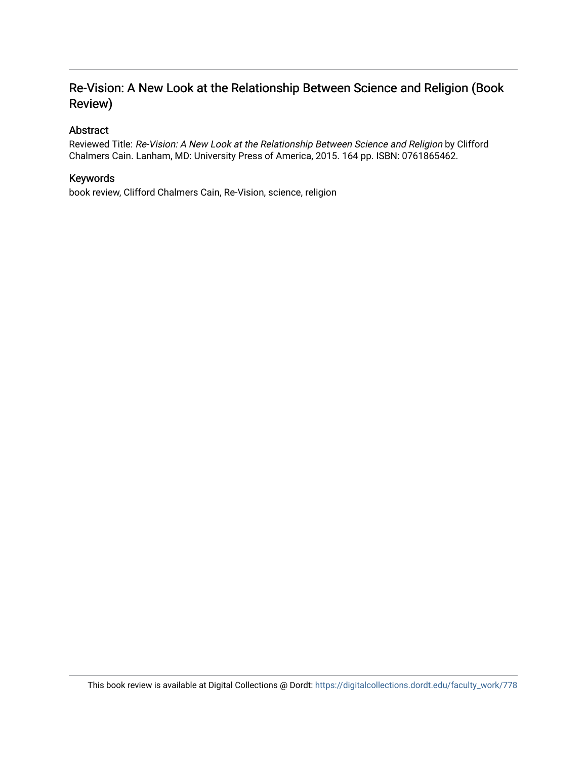### Re-Vision: A New Look at the Relationship Between Science and Religion (Book Review)

### Abstract

Reviewed Title: Re-Vision: A New Look at the Relationship Between Science and Religion by Clifford Chalmers Cain. Lanham, MD: University Press of America, 2015. 164 pp. ISBN: 0761865462.

### Keywords

book review, Clifford Chalmers Cain, Re-Vision, science, religion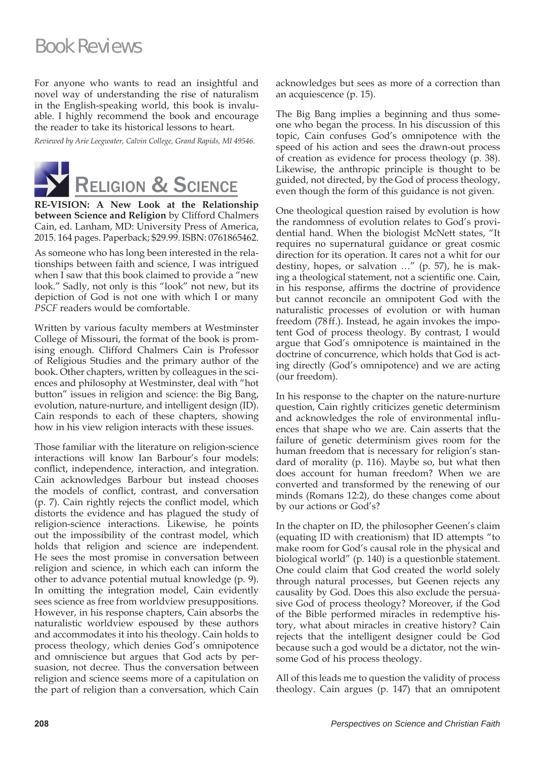# Book Reviews

For anyone who wants to read an insightful and novel way of understanding the rise of naturalism in the English-speaking world, this book is invaluable. I highly recommend the book and encourage the reader to take its historical lessons to heart.

*Reviewed by Arie Leegwater, Calvin College, Grand Rapids, MI 49546.*



**RE-VISION: A New Look at the Relationship between Science and Religion** by Clifford Chalmers Cain, ed. Lanham, MD: University Press of America, 2015. 164 pages. Paperback; \$29.99. ISBN: 0761865462.

As someone who has long been interested in the relationships between faith and science, I was intrigued when I saw that this book claimed to provide a "new look." Sadly, not only is this "look" not new, but its depiction of God is not one with which I or many *PSCF* readers would be comfortable.

Written by various faculty members at Westminster College of Missouri, the format of the book is promising enough. Clifford Chalmers Cain is Professor of Religious Studies and the primary author of the book. Other chapters, written by colleagues in the sciences and philosophy at Westminster, deal with "hot button" issues in religion and science: the Big Bang, evolution, nature-nurture, and intelligent design (ID). Cain responds to each of these chapters, showing how in his view religion interacts with these issues.

Those familiar with the literature on religion-science interactions will know Ian Barbour's four models: conflict, independence, interaction, and integration. Cain acknowledges Barbour but instead chooses the models of conflict, contrast, and conversation  $(p. 7)$ . Cain rightly rejects the conflict model, which distorts the evidence and has plagued the study of religion-science interactions. Likewise, he points out the impossibility of the contrast model, which holds that religion and science are independent. He sees the most promise in conversation between religion and science, in which each can inform the other to advance potential mutual knowledge (p. 9). In omitting the integration model, Cain evidently sees science as free from worldview presuppositions. However, in his response chapters, Cain absorbs the naturalistic worldview espoused by these authors and accommodates it into his theology. Cain holds to process theology, which denies God's omnipotence and omniscience but argues that God acts by persuasion, not decree. Thus the conversation between religion and science seems more of a capitulation on the part of religion than a conversation, which Cain

acknowledges but sees as more of a correction than an acquiescence (p. 15).

The Big Bang implies a beginning and thus someone who began the process. In his discussion of this topic, Cain confuses God's omnipotence with the speed of his action and sees the drawn-out process of creation as evidence for process theology (p. 38). Likewise, the anthropic principle is thought to be guided, not directed, by the God of process theology, even though the form of this guidance is not given.

One theological question raised by evolution is how the randomness of evolution relates to God's providential hand. When the biologist McNett states, "It requires no supernatural guidance or great cosmic direction for its operation. It cares not a whit for our destiny, hopes, or salvation …" (p. 57), he is making a theological statement, not a scientific one. Cain, in his response, affirms the doctrine of providence but cannot reconcile an omnipotent God with the naturalistic processes of evolution or with human freedom (78 ff.). Instead, he again invokes the impotent God of process theology. By contrast, I would argue that God's omnipotence is maintained in the doctrine of concurrence, which holds that God is acting directly (God's omnipotence) and we are acting (our freedom).

In his response to the chapter on the nature-nurture question, Cain rightly criticizes genetic determinism and acknowledges the role of environmental influences that shape who we are. Cain asserts that the failure of genetic determinism gives room for the human freedom that is necessary for religion's standard of morality (p. 116). Maybe so, but what then does account for human freedom? When we are converted and transformed by the renewing of our minds (Romans 12:2), do these changes come about by our actions or God's?

In the chapter on ID, the philosopher Geenen's claim (equating ID with creationism) that ID attempts "to make room for God's causal role in the physical and biological world" (p. 140) is a questionble statement. One could claim that God created the world solely through natural processes, but Geenen rejects any causality by God. Does this also exclude the persuasive God of process theology? Moreover, if the God of the Bible performed miracles in redemptive history, what about miracles in creative history? Cain rejects that the intelligent designer could be God because such a god would be a dictator, not the winsome God of his process theology.

All of this leads me to question the validity of process theology. Cain argues (p. 147) that an omnipotent